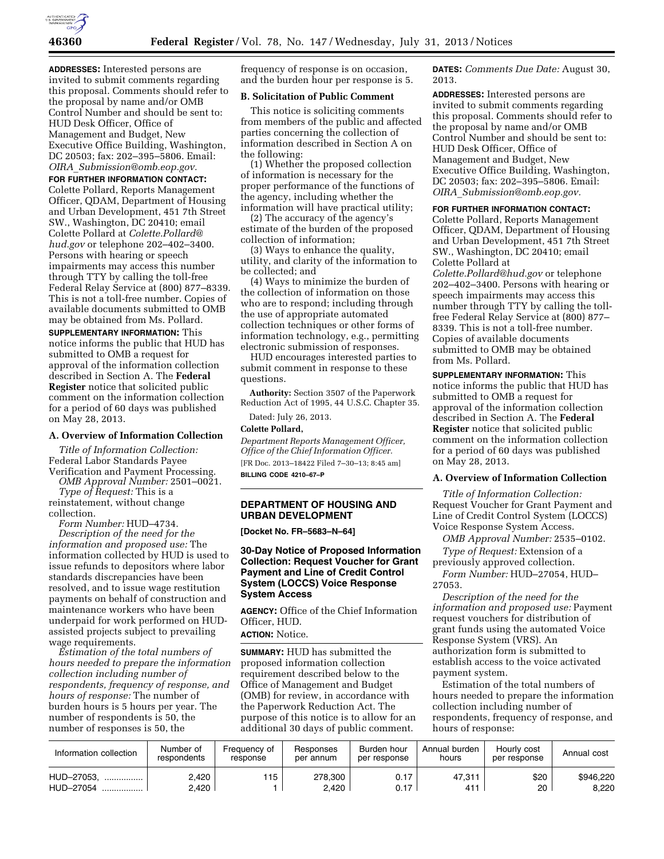

**ADDRESSES:** Interested persons are invited to submit comments regarding this proposal. Comments should refer to the proposal by name and/or OMB Control Number and should be sent to: HUD Desk Officer, Office of Management and Budget, New Executive Office Building, Washington, DC 20503; fax: 202–395–5806. Email: *OIRA*\_*[Submission@omb.eop.gov.](mailto:OIRA_Submission@omb.eop.gov)* 

**FOR FURTHER INFORMATION CONTACT:**  Colette Pollard, Reports Management Officer, QDAM, Department of Housing and Urban Development, 451 7th Street

SW., Washington, DC 20410; email Colette Pollard at *[Colette.Pollard@](mailto:Colette.Pollard@hud.gov) [hud.gov](mailto:Colette.Pollard@hud.gov)* or telephone 202–402–3400. Persons with hearing or speech impairments may access this number through TTY by calling the toll-free Federal Relay Service at (800) 877–8339. This is not a toll-free number. Copies of available documents submitted to OMB may be obtained from Ms. Pollard.

**SUPPLEMENTARY INFORMATION:** This notice informs the public that HUD has submitted to OMB a request for approval of the information collection described in Section A. The **Federal Register** notice that solicited public comment on the information collection for a period of 60 days was published on May 28, 2013.

#### **A. Overview of Information Collection**

*Title of Information Collection:*  Federal Labor Standards Payee Verification and Payment Processing.

*OMB Approval Number:* 2501–0021. *Type of Request:* This is a

reinstatement, without change collection. *Form Number:* HUD–4734.

*Description of the need for the information and proposed use:* The information collected by HUD is used to issue refunds to depositors where labor standards discrepancies have been resolved, and to issue wage restitution payments on behalf of construction and maintenance workers who have been underpaid for work performed on HUDassisted projects subject to prevailing wage requirements.

*Estimation of the total numbers of hours needed to prepare the information collection including number of respondents, frequency of response, and hours of response:* The number of burden hours is 5 hours per year. The number of respondents is 50, the number of responses is 50, the

frequency of response is on occasion, and the burden hour per response is 5.

### **B. Solicitation of Public Comment**

This notice is soliciting comments from members of the public and affected parties concerning the collection of information described in Section A on the following:

(1) Whether the proposed collection of information is necessary for the proper performance of the functions of the agency, including whether the information will have practical utility;

(2) The accuracy of the agency's estimate of the burden of the proposed collection of information;

(3) Ways to enhance the quality, utility, and clarity of the information to be collected; and

(4) Ways to minimize the burden of the collection of information on those who are to respond; including through the use of appropriate automated collection techniques or other forms of information technology, e.g., permitting electronic submission of responses.

HUD encourages interested parties to submit comment in response to these questions.

**Authority:** Section 3507 of the Paperwork Reduction Act of 1995, 44 U.S.C. Chapter 35.

Dated: July 26, 2013.

# **Colette Pollard,**

*Department Reports Management Officer, Office of the Chief Information Officer.*  [FR Doc. 2013–18422 Filed 7–30–13; 8:45 am] **BILLING CODE 4210–67–P** 

# **DEPARTMENT OF HOUSING AND URBAN DEVELOPMENT**

**[Docket No. FR–5683–N–64]** 

# **30-Day Notice of Proposed Information Collection: Request Voucher for Grant Payment and Line of Credit Control System (LOCCS) Voice Response System Access**

**AGENCY:** Office of the Chief Information Officer, HUD.

**ACTION:** Notice.

**SUMMARY:** HUD has submitted the proposed information collection requirement described below to the Office of Management and Budget (OMB) for review, in accordance with the Paperwork Reduction Act. The purpose of this notice is to allow for an additional 30 days of public comment.

**DATES:** *Comments Due Date:* August 30, 2013.

**ADDRESSES:** Interested persons are invited to submit comments regarding this proposal. Comments should refer to the proposal by name and/or OMB Control Number and should be sent to: HUD Desk Officer, Office of Management and Budget, New Executive Office Building, Washington, DC 20503; fax: 202–395–5806. Email: *OIRA*\_*[Submission@omb.eop.gov.](mailto:OIRA_Submission@omb.eop.gov)* 

# **FOR FURTHER INFORMATION CONTACT:**

Colette Pollard, Reports Management Officer, QDAM, Department of Housing and Urban Development, 451 7th Street SW., Washington, DC 20410; email Colette Pollard at

*[Colette.Pollard@hud.gov](mailto:Colette.Pollard@hud.gov)* or telephone 202–402–3400. Persons with hearing or speech impairments may access this number through TTY by calling the tollfree Federal Relay Service at (800) 877– 8339. This is not a toll-free number. Copies of available documents submitted to OMB may be obtained from Ms. Pollard.

**SUPPLEMENTARY INFORMATION:** This notice informs the public that HUD has submitted to OMB a request for approval of the information collection described in Section A. The **Federal Register** notice that solicited public comment on the information collection for a period of 60 days was published on May 28, 2013.

### **A. Overview of Information Collection**

*Title of Information Collection:*  Request Voucher for Grant Payment and Line of Credit Control System (LOCCS) Voice Response System Access.

*OMB Approval Number:* 2535–0102. *Type of Request:* Extension of a

previously approved collection. *Form Number:* HUD–27054, HUD–

27053.

*Description of the need for the information and proposed use:* Payment request vouchers for distribution of grant funds using the automated Voice Response System (VRS). An authorization form is submitted to establish access to the voice activated payment system.

Estimation of the total numbers of hours needed to prepare the information collection including number of respondents, frequency of response, and hours of response:

| Information collection            | Number of<br>respondents | Frequency of<br>response | Responses<br>per annum | Burden hour<br>per response | Annual burden<br>hours | Hourly cost<br>per response | Annual cost        |
|-----------------------------------|--------------------------|--------------------------|------------------------|-----------------------------|------------------------|-----------------------------|--------------------|
| HUD-27053.<br>.<br>HUD-27054<br>. | 2,420<br>2,420           | 115                      | 278.300<br>2.420       | 0.17<br>0.17                | 47,311<br>411          | \$20<br>20                  | \$946.220<br>8.220 |